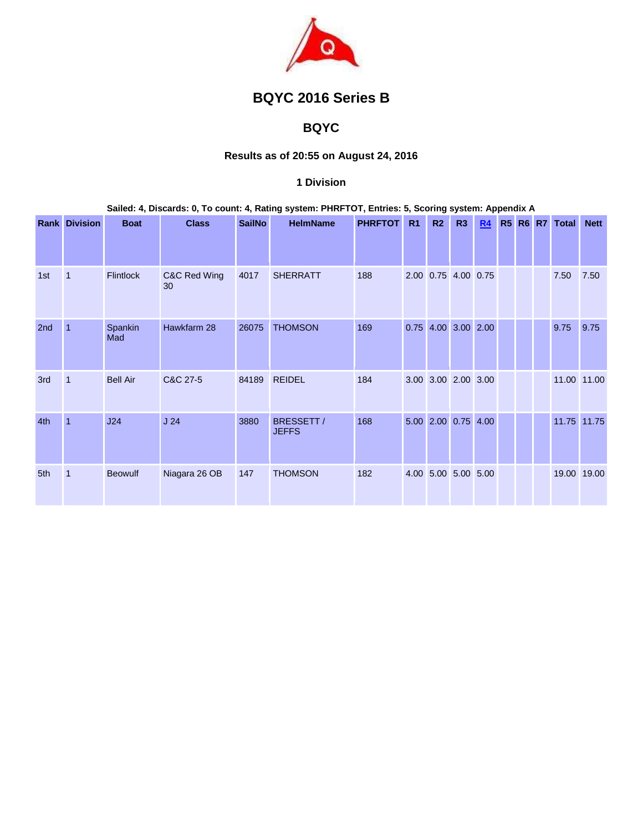

# **BQYC 2016 Series B**

# **BQYC**

# **Results as of 20:55 on August 24, 2016**

#### **1 Division**

#### **Sailed: 4, Discards: 0, To count: 4, Rating system: PHRFTOT, Entries: 5, Scoring system: Appendix A**

|     | <b>Rank Division</b> | <b>Boat</b>      | <b>Class</b>       | <b>SailNo</b> | <b>HelmName</b>            | <b>PHRFTOT</b> | R <sub>1</sub> | R2 | R <sub>3</sub>      | R4 |  | R5 R6 R7 Total | <b>Nett</b> |
|-----|----------------------|------------------|--------------------|---------------|----------------------------|----------------|----------------|----|---------------------|----|--|----------------|-------------|
|     |                      |                  |                    |               |                            |                |                |    |                     |    |  |                |             |
| 1st | $\mathbf{1}$         | <b>Flintlock</b> | C&C Red Wing<br>30 | 4017          | <b>SHERRATT</b>            | 188            |                |    | 2.00 0.75 4.00 0.75 |    |  | 7.50           | 7.50        |
| 2nd | $\mathbf{1}$         | Spankin<br>Mad   | Hawkfarm 28        | 26075         | <b>THOMSON</b>             | 169            |                |    | 0.75 4.00 3.00 2.00 |    |  | 9.75           | 9.75        |
| 3rd | $\mathbf{1}$         | <b>Bell Air</b>  | C&C 27-5           | 84189         | <b>REIDEL</b>              | 184            |                |    | 3.00 3.00 2.00 3.00 |    |  | 11.00 11.00    |             |
| 4th | $\overline{1}$       | J24              | J <sub>24</sub>    | 3880          | BRESSETT /<br><b>JEFFS</b> | 168            |                |    | 5.00 2.00 0.75 4.00 |    |  |                | 11.75 11.75 |
| 5th | $\mathbf{1}$         | <b>Beowulf</b>   | Niagara 26 OB      | 147           | <b>THOMSON</b>             | 182            |                |    | 4.00 5.00 5.00 5.00 |    |  | 19.00 19.00    |             |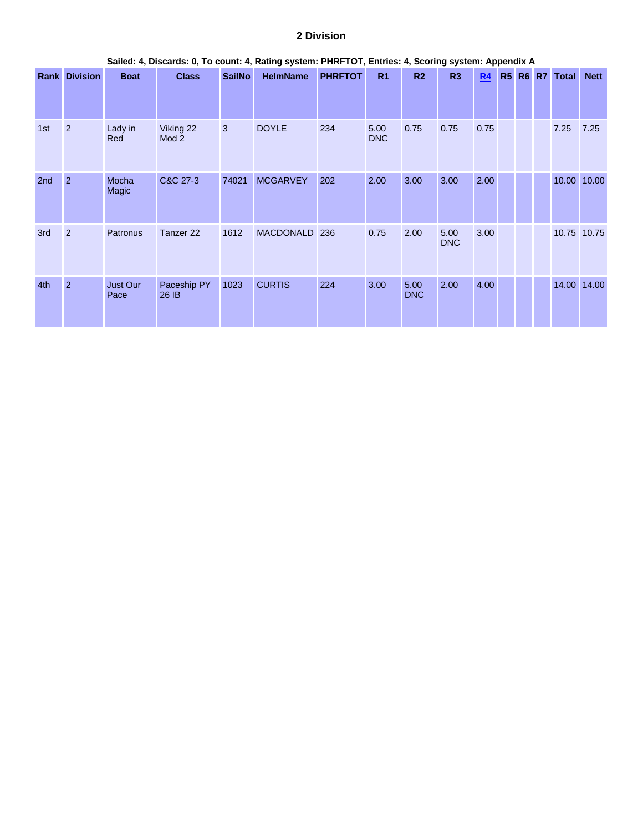#### **2 Division**

|                 | Sailed: 4, Discards: 0, To count: 4, Rating system: PHRFTOT, Entries: 4, Scoring system: Appendix A |                       |                      |               |                  |                |                    |                    |                    |      |  |  |  |                |             |
|-----------------|-----------------------------------------------------------------------------------------------------|-----------------------|----------------------|---------------|------------------|----------------|--------------------|--------------------|--------------------|------|--|--|--|----------------|-------------|
|                 | <b>Rank Division</b>                                                                                | <b>Boat</b>           | <b>Class</b>         | <b>SailNo</b> | <b>HelmName</b>  | <b>PHRFTOT</b> | R <sub>1</sub>     | R2                 | R <sub>3</sub>     | R4   |  |  |  | R5 R6 R7 Total | <b>Nett</b> |
| 1st             | $\overline{2}$                                                                                      | Lady in<br>Red        | Viking 22<br>Mod 2   | 3             | <b>DOYLE</b>     | 234            | 5.00<br><b>DNC</b> | 0.75               | 0.75               | 0.75 |  |  |  | 7.25           | 7.25        |
| 2 <sub>nd</sub> | $\overline{2}$                                                                                      | Mocha<br><b>Magic</b> | C&C 27-3             | 74021         | <b>MCGARVEY</b>  | 202            | 2.00               | 3.00               | 3.00               | 2.00 |  |  |  | 10.00          | 10.00       |
| 3rd             | $\overline{2}$                                                                                      | Patronus              | Tanzer <sub>22</sub> | 1612          | <b>MACDONALD</b> | 236            | 0.75               | 2.00               | 5.00<br><b>DNC</b> | 3.00 |  |  |  | 10.75 10.75    |             |
| 4th             | $\overline{2}$                                                                                      | Just Our<br>Pace      | Paceship PY<br>26 IB | 1023          | <b>CURTIS</b>    | 224            | 3.00               | 5.00<br><b>DNC</b> | 2.00               | 4.00 |  |  |  |                | 14.00 14.00 |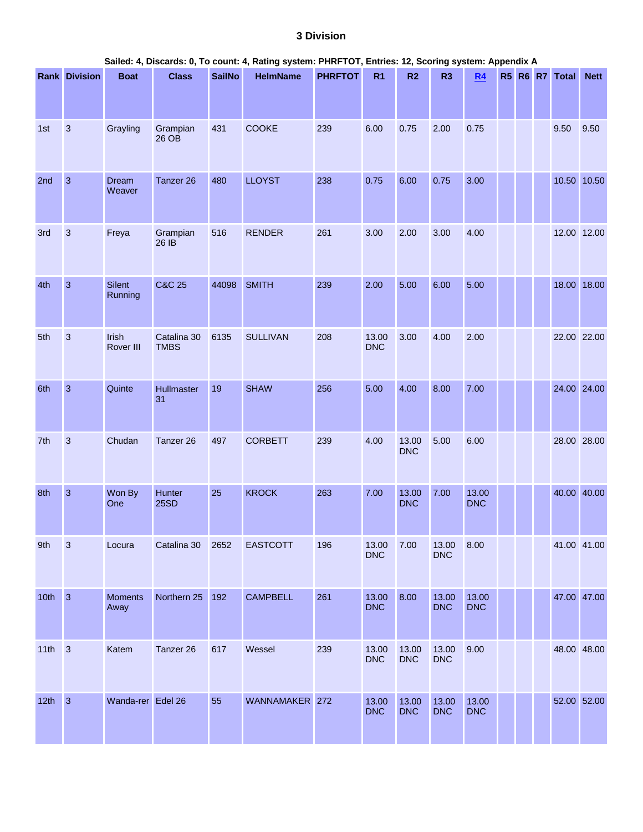#### **3 Division**

|      | Sailed: 4, Discards: 0, To count: 4, Rating system: PHRFTOT, Entries: 12, Scoring system: Appendix A<br>R5 R6 R7 Total |                        |                            |               |                 |                |                     |                     |                     |                     |  |  |  |             |             |
|------|------------------------------------------------------------------------------------------------------------------------|------------------------|----------------------------|---------------|-----------------|----------------|---------------------|---------------------|---------------------|---------------------|--|--|--|-------------|-------------|
|      | <b>Rank Division</b>                                                                                                   | <b>Boat</b>            | <b>Class</b>               | <b>SailNo</b> | <b>HelmName</b> | <b>PHRFTOT</b> | R1                  | R2                  | R <sub>3</sub>      | R4                  |  |  |  |             | <b>Nett</b> |
| 1st  | $\mathbf{3}$                                                                                                           | Grayling               | Grampian<br>26 OB          | 431           | COOKE           | 239            | 6.00                | 0.75                | 2.00                | 0.75                |  |  |  | 9.50        | 9.50        |
| 2nd  | $\mathbf{3}$                                                                                                           | Dream<br>Weaver        | Tanzer 26                  | 480           | <b>LLOYST</b>   | 238            | 0.75                | 6.00                | 0.75                | 3.00                |  |  |  | 10.50 10.50 |             |
| 3rd  | $\mathbf{3}$                                                                                                           | Freya                  | Grampian<br>26 IB          | 516           | <b>RENDER</b>   | 261            | 3.00                | 2.00                | 3.00                | 4.00                |  |  |  | 12.00 12.00 |             |
| 4th  | $\overline{3}$                                                                                                         | Silent<br>Running      | <b>C&amp;C 25</b>          | 44098         | <b>SMITH</b>    | 239            | 2.00                | 5.00                | 6.00                | 5.00                |  |  |  | 18.00 18.00 |             |
| 5th  | $\mathbf{3}$                                                                                                           | Irish<br>Rover III     | Catalina 30<br><b>TMBS</b> | 6135          | <b>SULLIVAN</b> | 208            | 13.00<br><b>DNC</b> | 3.00                | 4.00                | 2.00                |  |  |  | 22.00 22.00 |             |
| 6th  | $\mathbf{3}$                                                                                                           | Quinte                 | Hullmaster<br>31           | 19            | <b>SHAW</b>     | 256            | 5.00                | 4.00                | 8.00                | 7.00                |  |  |  | 24.00 24.00 |             |
| 7th  | $\mathbf{3}$                                                                                                           | Chudan                 | Tanzer 26                  | 497           | <b>CORBETT</b>  | 239            | 4.00                | 13.00<br><b>DNC</b> | 5.00                | 6.00                |  |  |  | 28.00 28.00 |             |
| 8th  | $\mathbf{3}$                                                                                                           | Won By<br>One          | Hunter<br><b>25SD</b>      | 25            | <b>KROCK</b>    | 263            | 7.00                | 13.00<br><b>DNC</b> | 7.00                | 13.00<br><b>DNC</b> |  |  |  | 40.00 40.00 |             |
| 9th  | $\sqrt{3}$                                                                                                             | Locura                 | Catalina 30                | 2652          | <b>EASTCOTT</b> | 196            | 13.00<br><b>DNC</b> | 7.00                | 13.00<br><b>DNC</b> | 8.00                |  |  |  | 41.00 41.00 |             |
| 10th | $\overline{3}$                                                                                                         | <b>Moments</b><br>Away | Northern 25                | 192           | <b>CAMPBELL</b> | 261            | 13.00<br><b>DNC</b> | 8.00                | 13.00<br><b>DNC</b> | 13.00<br><b>DNC</b> |  |  |  | 47.00 47.00 |             |
| 11th | $\overline{3}$                                                                                                         | Katem                  | Tanzer 26                  | 617           | Wessel          | 239            | 13.00<br><b>DNC</b> | 13.00<br><b>DNC</b> | 13.00<br><b>DNC</b> | 9.00                |  |  |  | 48.00 48.00 |             |
| 12th | $\mathbf{3}$                                                                                                           | Wanda-rer Edel 26      |                            | 55            | WANNAMAKER 272  |                | 13.00<br><b>DNC</b> | 13.00<br><b>DNC</b> | 13.00<br><b>DNC</b> | 13.00<br><b>DNC</b> |  |  |  | 52.00 52.00 |             |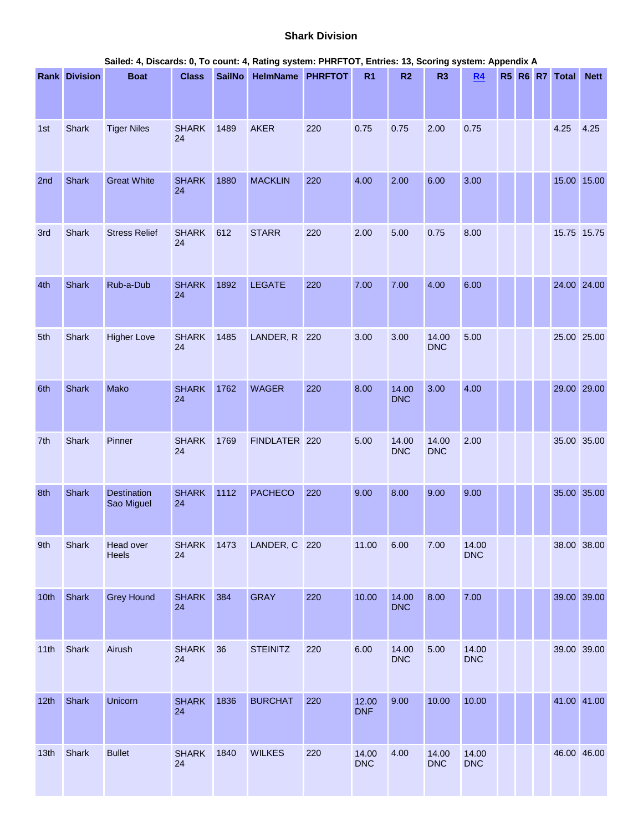#### **Shark Division**

|      | Sailed: 4, Discards: 0, To count: 4, Rating system: PHRFTOT, Entries: 13, Scoring system: Appendix A<br><b>Rank Division</b><br>SailNo HelmName PHRFTOT<br>R5 R6 R7 Total |                                  |                    |      |                 |     |                     |                     |                     |                     |  |  |  |             |             |
|------|---------------------------------------------------------------------------------------------------------------------------------------------------------------------------|----------------------------------|--------------------|------|-----------------|-----|---------------------|---------------------|---------------------|---------------------|--|--|--|-------------|-------------|
|      |                                                                                                                                                                           | <b>Boat</b>                      | <b>Class</b>       |      |                 |     | R <sub>1</sub>      | R2                  | R <sub>3</sub>      | R4                  |  |  |  |             | <b>Nett</b> |
|      |                                                                                                                                                                           |                                  |                    |      |                 |     |                     |                     |                     |                     |  |  |  |             |             |
| 1st  | Shark                                                                                                                                                                     | <b>Tiger Niles</b>               | <b>SHARK</b><br>24 | 1489 | <b>AKER</b>     | 220 | 0.75                | 0.75                | 2.00                | 0.75                |  |  |  | 4.25        | 4.25        |
| 2nd  | Shark                                                                                                                                                                     | <b>Great White</b>               | <b>SHARK</b><br>24 | 1880 | <b>MACKLIN</b>  | 220 | 4.00                | 2.00                | 6.00                | 3.00                |  |  |  | 15.00 15.00 |             |
| 3rd  | Shark                                                                                                                                                                     | <b>Stress Relief</b>             | <b>SHARK</b><br>24 | 612  | <b>STARR</b>    | 220 | 2.00                | 5.00                | 0.75                | 8.00                |  |  |  | 15.75 15.75 |             |
| 4th  | Shark                                                                                                                                                                     | Rub-a-Dub                        | <b>SHARK</b><br>24 | 1892 | <b>LEGATE</b>   | 220 | 7.00                | 7.00                | 4.00                | 6.00                |  |  |  | 24.00 24.00 |             |
| 5th  | Shark                                                                                                                                                                     | <b>Higher Love</b>               | <b>SHARK</b><br>24 | 1485 | LANDER, R       | 220 | 3.00                | 3.00                | 14.00<br><b>DNC</b> | 5.00                |  |  |  | 25.00 25.00 |             |
| 6th  | Shark                                                                                                                                                                     | Mako                             | <b>SHARK</b><br>24 | 1762 | <b>WAGER</b>    | 220 | 8.00                | 14.00<br><b>DNC</b> | 3.00                | 4.00                |  |  |  | 29.00 29.00 |             |
| 7th  | Shark                                                                                                                                                                     | Pinner                           | <b>SHARK</b><br>24 | 1769 | FINDLATER 220   |     | 5.00                | 14.00<br><b>DNC</b> | 14.00<br><b>DNC</b> | 2.00                |  |  |  | 35.00 35.00 |             |
| 8th  | <b>Shark</b>                                                                                                                                                              | <b>Destination</b><br>Sao Miguel | <b>SHARK</b><br>24 | 1112 | <b>PACHECO</b>  | 220 | 9.00                | 8.00                | 9.00                | 9.00                |  |  |  | 35.00 35.00 |             |
| 9th  | Shark                                                                                                                                                                     | Head over<br>Heels               | <b>SHARK</b><br>24 | 1473 | LANDER, C 220   |     | 11.00               | 6.00                | 7.00                | 14.00<br><b>DNC</b> |  |  |  | 38.00 38.00 |             |
| 10th | Shark                                                                                                                                                                     | <b>Grey Hound</b>                | <b>SHARK</b><br>24 | 384  | <b>GRAY</b>     | 220 | 10.00               | 14.00<br><b>DNC</b> | 8.00                | 7.00                |  |  |  | 39.00 39.00 |             |
| 11th | Shark                                                                                                                                                                     | Airush                           | <b>SHARK</b><br>24 | 36   | <b>STEINITZ</b> | 220 | 6.00                | 14.00<br><b>DNC</b> | 5.00                | 14.00<br><b>DNC</b> |  |  |  | 39.00 39.00 |             |
| 12th | Shark                                                                                                                                                                     | Unicorn                          | <b>SHARK</b><br>24 | 1836 | <b>BURCHAT</b>  | 220 | 12.00<br><b>DNF</b> | 9.00                | 10.00               | 10.00               |  |  |  | 41.00 41.00 |             |
| 13th | Shark                                                                                                                                                                     | <b>Bullet</b>                    | <b>SHARK</b><br>24 | 1840 | <b>WILKES</b>   | 220 | 14.00<br><b>DNC</b> | 4.00                | 14.00<br><b>DNC</b> | 14.00<br><b>DNC</b> |  |  |  | 46.00 46.00 |             |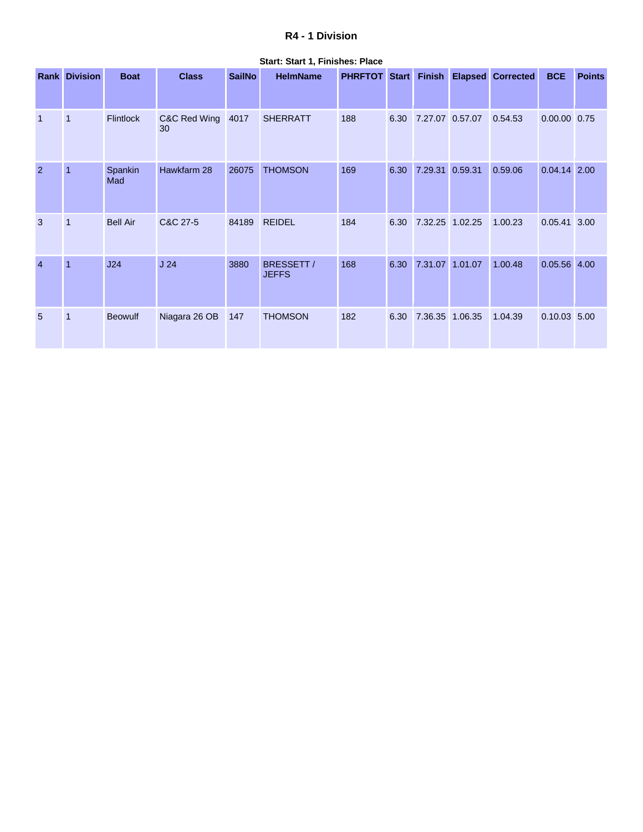## **R4 - 1 Division**

| Rank           | <b>Division</b> | <b>Boat</b>      | <b>Class</b>       | <b>SailNo</b> | <b>HelmName</b>            | <b>PHRFTOT Start</b> |      | <b>Finish</b>   |         | <b>Elapsed Corrected</b> | <b>BCE</b>     | <b>Points</b> |
|----------------|-----------------|------------------|--------------------|---------------|----------------------------|----------------------|------|-----------------|---------|--------------------------|----------------|---------------|
| $\overline{1}$ | $\mathbf{1}$    | <b>Flintlock</b> | C&C Red Wing<br>30 | 4017          | <b>SHERRATT</b>            | 188                  | 6.30 | 7.27.07 0.57.07 |         | 0.54.53                  | 0.00.00 0.75   |               |
| $\overline{2}$ | $\overline{1}$  | Spankin<br>Mad   | Hawkfarm 28        | 26075         | <b>THOMSON</b>             | 169                  | 6.30 | 7.29.31         | 0.59.31 | 0.59.06                  | 0.04.14 2.00   |               |
| 3              | $\mathbf{1}$    | <b>Bell Air</b>  | C&C 27-5           | 84189         | <b>REIDEL</b>              | 184                  | 6.30 | 7.32.25 1.02.25 |         | 1.00.23                  | 0.05.41        | 3.00          |
| $\overline{4}$ | $\overline{1}$  | J24              | J <sub>24</sub>    | 3880          | BRESSETT /<br><b>JEFFS</b> | 168                  | 6.30 | 7.31.07 1.01.07 |         | 1.00.48                  | $0.05.56$ 4.00 |               |
| 5              | $\mathbf{1}$    | <b>Beowulf</b>   | Niagara 26 OB      | 147           | <b>THOMSON</b>             | 182                  | 6.30 | 7.36.35 1.06.35 |         | 1.04.39                  | $0.10.03$ 5.00 |               |

**Start: Start 1, Finishes: Place**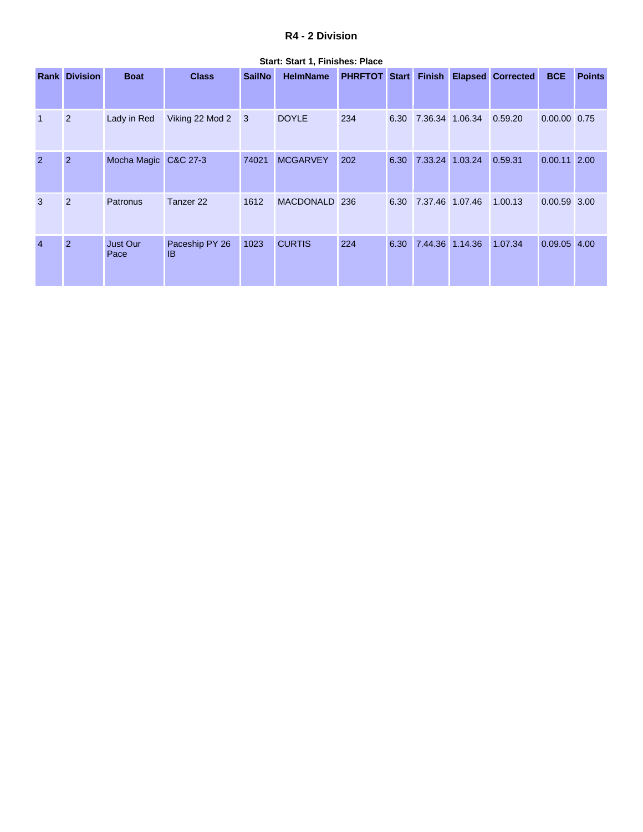#### **R4 - 2 Division**

|                | <b>Rank Division</b> | <b>Boat</b>             | <b>Class</b>                | <b>SailNo</b> | <b>HelmName</b> | <b>PHRFTOT Start Finish</b> |      |                 | <b>Elapsed Corrected</b> | <b>BCE</b>     | <b>Points</b> |
|----------------|----------------------|-------------------------|-----------------------------|---------------|-----------------|-----------------------------|------|-----------------|--------------------------|----------------|---------------|
|                |                      |                         |                             |               |                 |                             |      |                 |                          |                |               |
| $\overline{1}$ | $\overline{2}$       | Lady in Red             | Viking 22 Mod 2             | 3             | <b>DOYLE</b>    | 234                         | 6.30 | 7.36.34 1.06.34 | 0.59.20                  | 0.00.00 0.75   |               |
| 2              | $\overline{2}$       | Mocha Magic C&C 27-3    |                             | 74021         | <b>MCGARVEY</b> | 202                         | 6.30 | 7.33.24 1.03.24 | 0.59.31                  | $0.00.11$ 2.00 |               |
| 3              | $\overline{2}$       | Patronus                | Tanzer <sub>22</sub>        | 1612          | MACDONALD 236   |                             | 6.30 | 7.37.46 1.07.46 | 1.00.13                  | $0.00.59$ 3.00 |               |
| $\overline{4}$ | $\overline{2}$       | <b>Just Our</b><br>Pace | Paceship PY 26<br><b>IB</b> | 1023          | <b>CURTIS</b>   | 224                         | 6.30 | 7.44.36 1.14.36 | 1.07.34                  | $0.09.05$ 4.00 |               |

**Start: Start 1, Finishes: Place**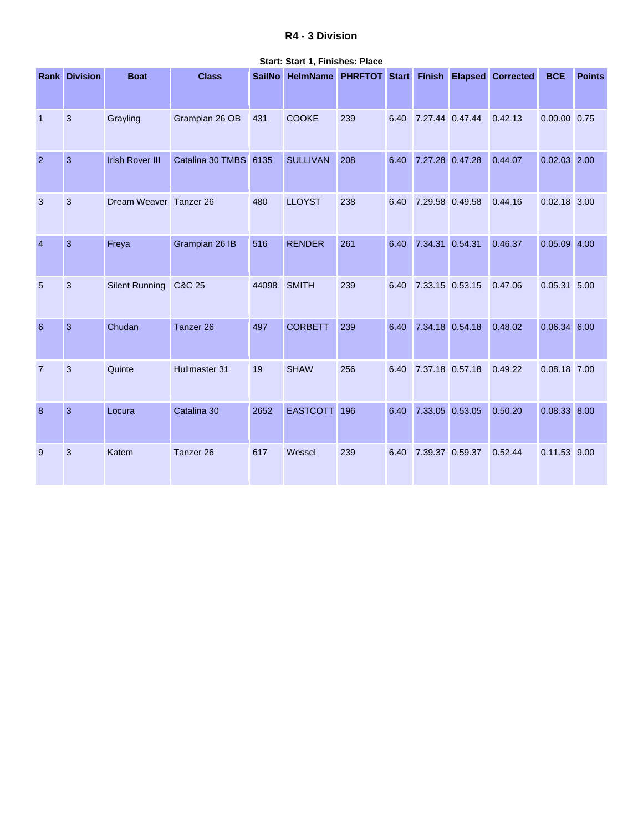# **R4 - 3 Division**

|                  | <b>Rank Division</b> | <b>Boat</b>            | <b>Class</b>          | <b>SailNo</b> | HelmName PHRFTOT Start Finish Elapsed Corrected |     |      |                      |         | <b>BCE</b>     | <b>Points</b> |
|------------------|----------------------|------------------------|-----------------------|---------------|-------------------------------------------------|-----|------|----------------------|---------|----------------|---------------|
|                  |                      |                        |                       |               |                                                 |     |      |                      |         |                |               |
| $\overline{1}$   | $\mathbf{3}$         | Grayling               | Grampian 26 OB        | 431           | <b>COOKE</b>                                    | 239 |      | 6.40 7.27.44 0.47.44 | 0.42.13 | 0.00.00 0.75   |               |
| $\overline{2}$   | 3                    | <b>Irish Rover III</b> | Catalina 30 TMBS 6135 |               | <b>SULLIVAN</b>                                 | 208 |      | 6.40 7.27.28 0.47.28 | 0.44.07 | $0.02.03$ 2.00 |               |
| $\mathbf{3}$     | 3                    | Dream Weaver Tanzer 26 |                       | 480           | <b>LLOYST</b>                                   | 238 | 6.40 | 7.29.58 0.49.58      | 0.44.16 | $0.02.18$ 3.00 |               |
| $\overline{4}$   | 3                    | Freya                  | Grampian 26 IB        | 516           | <b>RENDER</b>                                   | 261 |      | 6.40 7.34.31 0.54.31 | 0.46.37 | $0.05.09$ 4.00 |               |
| $\overline{5}$   | $\mathfrak{B}$       | Silent Running C&C 25  |                       | 44098         | <b>SMITH</b>                                    | 239 |      | 6.40 7.33.15 0.53.15 | 0.47.06 | 0.05.31 5.00   |               |
| $6\phantom{1}6$  | 3                    | Chudan                 | Tanzer 26             | 497           | <b>CORBETT</b>                                  | 239 |      | 6.40 7.34.18 0.54.18 | 0.48.02 | 0.06.34 6.00   |               |
| $\overline{7}$   | 3                    | Quinte                 | Hullmaster 31         | 19            | <b>SHAW</b>                                     | 256 |      | 6.40 7.37.18 0.57.18 | 0.49.22 | 0.08.18 7.00   |               |
| $\boldsymbol{8}$ | $\overline{3}$       | Locura                 | Catalina 30           | 2652          | EASTCOTT 196                                    |     |      | 6.40 7.33.05 0.53.05 | 0.50.20 | 0.08.33 8.00   |               |
| 9                | $\mathfrak{B}$       | Katem                  | Tanzer <sub>26</sub>  | 617           | Wessel                                          | 239 | 6.40 | 7.39.37 0.59.37      | 0.52.44 | 0.11.53 9.00   |               |

**Start: Start 1, Finishes: Place**